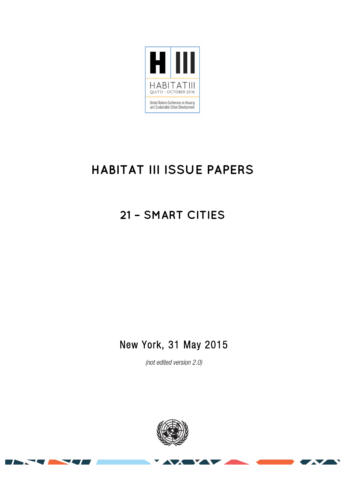

# **HABITAT III ISSUE PAPERS**

# **21 – SMART CITIES**

# New York, 31 May 2015

(not edited version 2.0)



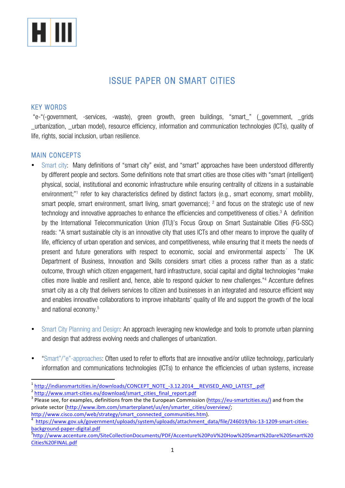

## ISSUE PAPER ON SMART CITIES

#### KEY WORDS

"e-"(-government, -services, -waste), green growth, green buildings, "smart\_" (\_government, \_grids \_urbanization, \_urban model), resource efficiency, information and communication technologies (ICTs), quality of life, rights, social inclusion, urban resilience.

#### MAIN CONCEPTS

- Smart city: Many definitions of "smart city" exist, and "smart" approaches have been understood differently by different people and sectors. Some definitions note that smart cities are those cities with "smart (intelligent) physical, social, institutional and economic infrastructure while ensuring centrality of citizens in a sustainable environment;"1 refer to key characteristics defined by distinct factors (e.g., smart economy, smart mobility, smart people, smart environment, smart living, smart governance); <sup>2</sup> and focus on the strategic use of new technology and innovative approaches to enhance the efficiencies and competitiveness of cities.<sup>3</sup> A definition by the International Telecommunication Union (ITU)'s Focus Group on Smart Sustainable Cities (FG-SSC) reads: "A smart sustainable city is an innovative city that uses ICTs and other means to improve the quality of life, efficiency of urban operation and services, and competitiveness, while ensuring that it meets the needs of present and future generations with respect to economic, social and environmental aspects." The UK Department of Business, Innovation and Skills considers smart cities a process rather than as a static outcome, through which citizen engagement, hard infrastructure, social capital and digital technologies "make cities more livable and resilient and, hence, able to respond quicker to new challenges."4 Accenture defines smart city as a city that delivers services to citizen and businesses in an integrated and resource efficient way and enables innovative collaborations to improve inhabitants' quality of life and support the growth of the local and national economy.5
- Smart City Planning and Design: An approach leveraging new knowledge and tools to promote urban planning and design that address evolving needs and challenges of urbanization.
- "Smart"/"e"-approaches: Often used to refer to efforts that are innovative and/or utilize technology, particularly information and communications technologies (ICTs) to enhance the efficiencies of urban systems, increase

<u> 1989 - Jan Samuel Barbara, margaret e</u>

 $\frac{1}{2}$  http://indiansmartcities.in/downloads/CONCEPT\_NOTE\_-3.12.2014\_\_REVISED\_AND\_LATEST\_.pdf<br> $\frac{1}{2}$  http://www.smart-cities.eu/download/smart\_cities\_final\_report.pdf<br> $\frac{1}{2}$  please see, for examples, definitions

private sector (http://www.ibm.com/smarterplanet/us/en/smarter\_cities/overview/; http://www.cisco.com/web/strategy/smart\_connected\_communities.htm).

https://www.gov.uk/government/uploads/system/uploads/attachment\_data/file/246019/bis-13-1209-smart-citiesbackground-paper-digital.pdf <sup>5</sup>

http://www.accenture.com/SiteCollectionDocuments/PDF/Accenture%20PoV%20How%20Smart%20are%20Smart%20 Cities%20FINAL.pdf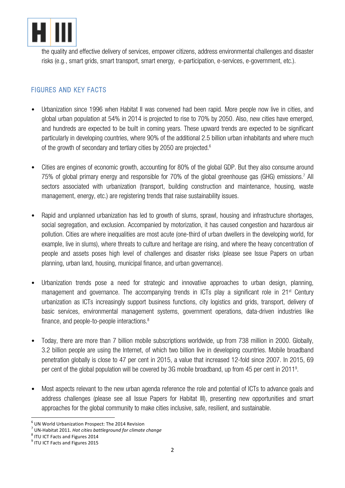

the quality and effective delivery of services, empower citizens, address environmental challenges and disaster risks (e.g., smart grids, smart transport, smart energy, e-participation, e-services, e-government, etc.).

## FIGURES AND KEY FACTS

- Urbanization since 1996 when Habitat II was convened had been rapid. More people now live in cities, and global urban population at 54% in 2014 is projected to rise to 70% by 2050. Also, new cities have emerged, and hundreds are expected to be built in coming years. These upward trends are expected to be significant particularly in developing countries, where 90% of the additional 2.5 billion urban inhabitants and where much of the growth of secondary and tertiary cities by 2050 are projected.<sup>6</sup>
- Cities are engines of economic growth, accounting for 80% of the global GDP. But they also consume around 75% of global primary energy and responsible for 70% of the global greenhouse gas (GHG) emissions.7 All sectors associated with urbanization (transport, building construction and maintenance, housing, waste management, energy, etc.) are registering trends that raise sustainability issues.
- Rapid and unplanned urbanization has led to growth of slums, sprawl, housing and infrastructure shortages, social segregation, and exclusion. Accompanied by motorization, it has caused congestion and hazardous air pollution. Cities are where inequalities are most acute (one-third of urban dwellers in the developing world, for example, live in slums), where threats to culture and heritage are rising, and where the heavy concentration of people and assets poses high level of challenges and disaster risks (please see Issue Papers on urban planning, urban land, housing, municipal finance, and urban governance).
- Urbanization trends pose a need for strategic and innovative approaches to urban design, planning, management and governance. The accompanying trends in ICTs play a significant role in 21<sup>st</sup> Century urbanization as ICTs increasingly support business functions, city logistics and grids, transport, delivery of basic services, environmental management systems, government operations, data-driven industries like finance, and people-to-people interactions. 8
- Today, there are more than 7 billion mobile subscriptions worldwide, up from 738 million in 2000. Globally, 3.2 billion people are using the Internet, of which two billion live in developing countries. Mobile broadband penetration globally is close to 47 per cent in 2015, a value that increased 12-fold since 2007. In 2015, 69 per cent of the global population will be covered by 3G mobile broadband, up from 45 per cent in 20119 .
- Most aspects relevant to the new urban agenda reference the role and potential of ICTs to advance goals and address challenges (please see all Issue Papers for Habitat III), presenting new opportunities and smart approaches for the global community to make cities inclusive, safe, resilient, and sustainable.

 $6$  UN World Urbanization Prospect: The 2014 Revision

 $<sup>7</sup>$  UN-Habitat 2011. *Hot cities battleground for climate change*  $<sup>8</sup>$  ITU ICT Facts and Figures 2014</sup></sup>

 $9$  ITU ICT Facts and Figures 2015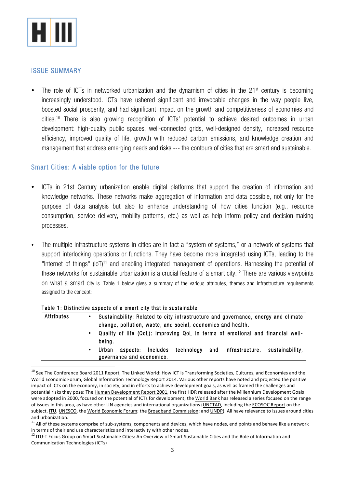

#### ISSUE SUMMARY

The role of ICTs in networked urbanization and the dynamism of cities in the  $21<sup>st</sup>$  century is becoming increasingly understood. ICTs have ushered significant and irrevocable changes in the way people live, boosted social prosperity, and had significant impact on the growth and competitiveness of economies and cities.10 There is also growing recognition of ICTs' potential to achieve desired outcomes in urban development: high-quality public spaces, well-connected grids, well-designed density, increased resource efficiency, improved quality of life, growth with reduced carbon emissions, and knowledge creation and management that address emerging needs and risks --- the contours of cities that are smart and sustainable.

#### Smart Cities: A viable option for the future

- ICTs in 21st Century urbanization enable digital platforms that support the creation of information and knowledge networks. These networks make aggregation of information and data possible, not only for the purpose of data analysis but also to enhance understanding of how cities function (e.g., resource consumption, service delivery, mobility patterns, etc.) as well as help inform policy and decision-making processes.
- The multiple infrastructure systems in cities are in fact a "system of systems," or a network of systems that support interlocking operations or functions. They have become more integrated using ICTs, leading to the "Internet of things" (IoT)<sup>11</sup> and enabling integrated management of operations. Harnessing the potential of these networks for sustainable urbanization is a crucial feature of a smart city.<sup>12</sup> There are various viewpoints on what a smart city is. Table 1 below gives a summary of the various attributes, themes and infrastructure requirements assigned to the concept:

#### Table 1: Distinctive aspects of a smart city that is sustainable

| Attributes | ٠ | Sustainability: Related to city infrastructure and governance, energy and climate<br>change, pollution, waste, and social, economics and health. |
|------------|---|--------------------------------------------------------------------------------------------------------------------------------------------------|
|            |   | Quality of life (QoL): Improving QoL in terms of emotional and financial well-<br>being.                                                         |
|            | ٠ | technology and<br>infrastructure,<br>Includes<br>Urban<br>sustainabilitv.<br>aspects:<br>governance and economics.                               |

<sup>&</sup>lt;sup>10</sup> See The Conference Board 2011 Report. The Linked World: How ICT Is Transforming Societies, Cultures, and Economies and the World Economic Forum, Global Information Technology Report 2014. Various other reports have noted and projected the positive impact of ICTs on the economy, in society, and in efforts to achieve development goals, as well as framed the challenges and potential risks they pose: The Human Development Report 2001, the first HDR released after the Millennium Development Goals were adopted in 2000, focused on the potential of ICTs for development; the World Bank has released a series focused on the range of issues in this area, as have other UN agencies and international organizations (UNCTAD, including the ECOSOC Report on the subject, ITU, UNESCO, the World Economic Forum; the Broadband Commission; and UNDP). All have relevance to issues around cities and urbanization.

 $11$  All of these systems comprise of sub-systems, components and devices, which have nodes, end points and behave like a network in terms of their end use characteristics and interactivity with other nodes.

 $12$  ITU-T Focus Group on Smart Sustainable Cities: An Overview of Smart Sustainable Cities and the Role of Information and Communication Technologies (ICTs)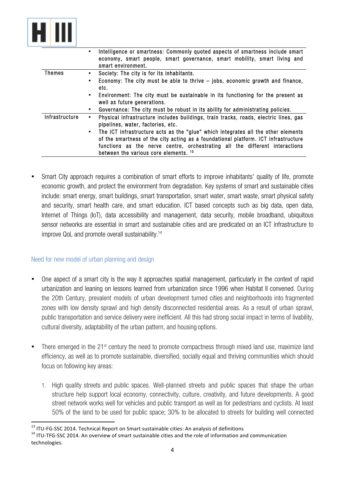

|                | Intelligence or smartness: Commonly quoted aspects of smartness include smart<br>economy, smart people, smart governance, smart mobility, smart living and<br>smart environment.                                                                                                                                                                                                           |
|----------------|--------------------------------------------------------------------------------------------------------------------------------------------------------------------------------------------------------------------------------------------------------------------------------------------------------------------------------------------------------------------------------------------|
| Themes         | Society: The city is for its inhabitants.<br>$\bullet$                                                                                                                                                                                                                                                                                                                                     |
|                | Economy: The city must be able to thrive $-$ jobs, economic growth and finance,<br>$\bullet$<br>etc.                                                                                                                                                                                                                                                                                       |
|                | Environment: The city must be sustainable in its functioning for the present as<br>$\bullet$<br>well as future generations.                                                                                                                                                                                                                                                                |
|                | Governance: The city must be robust in its ability for administrating policies.<br>$\bullet$                                                                                                                                                                                                                                                                                               |
| Infrastructure | Physical infrastructure includes buildings, train tracks, roads, electric lines, gas<br>٠<br>pipelines, water, factories, etc.<br>• The ICT infrastructure acts as the "glue" which integrates all the other elements<br>of the smartness of the city acting as a foundational platform. ICT infrastructure<br>functions as the nerve centre, orchestrating all the different interactions |
|                | between the various core elements. 13                                                                                                                                                                                                                                                                                                                                                      |
|                |                                                                                                                                                                                                                                                                                                                                                                                            |

• Smart City approach requires a combination of smart efforts to improve inhabitants' quality of life, promote economic growth, and protect the environment from degradation. Key systems of smart and sustainable cities include: smart energy, smart buildings, smart transportation, smart water, smart waste, smart physical safety and security, smart health care, and smart education. ICT based concepts such as big data, open data, Internet of Things (IoT), data accessibility and management, data security, mobile broadband, ubiquitous sensor networks are essential in smart and sustainable cities and are predicated on an ICT infrastructure to improve QoL and promote overall sustainability.<sup>14</sup>

#### Need for new model of urban planning and design

<u> 1989 - Jan Samuel Barbara, margaret e</u>

- One aspect of a smart city is the way it approaches spatial management, particularly in the context of rapid urbanization and leaning on lessons learned from urbanization since 1996 when Habitat II convened. During the 20th Century, prevalent models of urban development turned cities and neighborhoods into fragmented zones with low density sprawl and high density disconnected residential areas. As a result of urban sprawl, public transportation and service delivery were inefficient. All this had strong social impact in terms of livability, cultural diversity, adaptability of the urban pattern, and housing options.
- There emerged in the 21<sup>st</sup> century the need to promote compactness through mixed land use, maximize land efficiency, as well as to promote sustainable, diversified, socially equal and thriving communities which should focus on following key areas:
	- 1. High quality streets and public spaces. Well-planned streets and public spaces that shape the urban structure help support local economy, connectivity, culture, creativity, and future developments. A good street network works well for vehicles and public transport as well as for pedestrians and cyclists. At least 50% of the land to be used for public space; 30% to be allocated to streets for building well connected

<sup>&</sup>lt;sup>13</sup> ITU-FG-SSC 2014. Technical Report on Smart sustainable cities: An analysis of definitions  $14$  ITU-TFG-SSC 2014. An overview of smart sustainable cities and the role of information and communication technologies.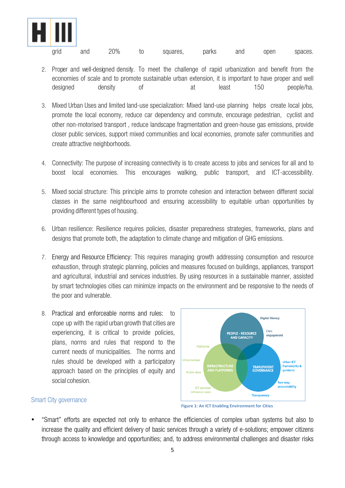

| arid | and | 20% | to | squares. | parks | and | open | spaces. |
|------|-----|-----|----|----------|-------|-----|------|---------|
|------|-----|-----|----|----------|-------|-----|------|---------|

- 2. Proper and well-designed density. To meet the challenge of rapid urbanization and benefit from the economies of scale and to promote sustainable urban extension, it is important to have proper and well designed density of at least 150 people/ha.
- 3. Mixed Urban Uses and limited land-use specialization: Mixed land-use planning helps create local jobs, promote the local economy, reduce car dependency and commute, encourage pedestrian, cyclist and other non-motorised transport , reduce landscape fragmentation and green-house gas emissions, provide closer public services, support mixed communities and local economies, promote safer communities and create attractive neighborhoods.
- 4. Connectivity: The purpose of increasing connectivity is to create access to jobs and services for all and to boost local economies. This encourages walking, public transport, and ICT-accessibility.
- 5. Mixed social structure: This principle aims to promote cohesion and interaction between different social classes in the same neighbourhood and ensuring accessibility to equitable urban opportunities by providing different types of housing.
- 6. Urban resilience: Resilience requires policies, disaster preparedness strategies, frameworks, plans and designs that promote both, the adaptation to climate change and mitigation of GHG emissions.
- 7. Energy and Resource Efficiency: This requires managing growth addressing consumption and resource exhaustion, through strategic planning, policies and measures focused on buildings, appliances, transport and agricultural, industrial and services industries. By using resources in a sustainable manner, assisted by smart technologies cities can minimize impacts on the environment and be responsive to the needs of the poor and vulnerable.
- 8. Practical and enforceable norms and rules: to cope up with the rapid urban growth that cities are experiencing, it is critical to provide policies, plans, norms and rules that respond to the current needs of municipalities. The norms and rules should be developed with a participatory approach based on the principles of equity and social cohesion.



#### Smart City governance

**Figure 1: An ICT Enabling Environment for Cities** 

• "Smart" efforts are expected not only to enhance the efficiencies of complex urban systems but also to increase the quality and efficient delivery of basic services through a variety of e-solutions; empower citizens through access to knowledge and opportunities; and, to address environmental challenges and disaster risks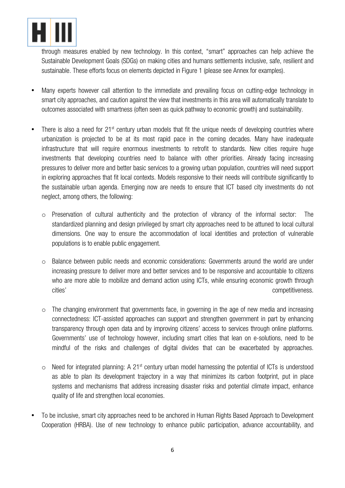

through measures enabled by new technology. In this context, "smart" approaches can help achieve the Sustainable Development Goals (SDGs) on making cities and humans settlements inclusive, safe, resilient and sustainable. These efforts focus on elements depicted in Figure 1 (please see Annex for examples).

- Many experts however call attention to the immediate and prevailing focus on cutting-edge technology in smart city approaches, and caution against the view that investments in this area will automatically translate to outcomes associated with smartness (often seen as quick pathway to economic growth) and sustainability.
- There is also a need for 21<sup>st</sup> century urban models that fit the unique needs of developing countries where urbanization is projected to be at its most rapid pace in the coming decades. Many have inadequate infrastructure that will require enormous investments to retrofit to standards. New cities require huge investments that developing countries need to balance with other priorities. Already facing increasing pressures to deliver more and better basic services to a growing urban population, countries will need support in exploring approaches that fit local contexts. Models responsive to their needs will contribute significantly to the sustainable urban agenda. Emerging now are needs to ensure that ICT based city investments do not neglect, among others, the following:
	- o Preservation of cultural authenticity and the protection of vibrancy of the informal sector: The standardized planning and design privileged by smart city approaches need to be attuned to local cultural dimensions. One way to ensure the accommodation of local identities and protection of vulnerable populations is to enable public engagement.
	- o Balance between public needs and economic considerations: Governments around the world are under increasing pressure to deliver more and better services and to be responsive and accountable to citizens who are more able to mobilize and demand action using ICTs, while ensuring economic growth through cities' competitiveness.
	- o The changing environment that governments face, in governing in the age of new media and increasing connectedness: ICT-assisted approaches can support and strengthen government in part by enhancing transparency through open data and by improving citizens' access to services through online platforms. Governments' use of technology however, including smart cities that lean on e-solutions, need to be mindful of the risks and challenges of digital divides that can be exacerbated by approaches.
	- $\circ$  Need for integrated planning: A 21<sup>st</sup> century urban model harnessing the potential of ICTs is understood as able to plan its development trajectory in a way that minimizes its carbon footprint, put in place systems and mechanisms that address increasing disaster risks and potential climate impact, enhance quality of life and strengthen local economies.
- To be inclusive, smart city approaches need to be anchored in Human Rights Based Approach to Development Cooperation (HRBA). Use of new technology to enhance public participation, advance accountability, and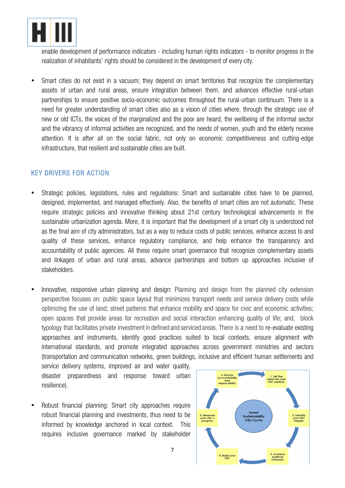

enable development of performance indicators - including human rights indicators - to monitor progress in the realization of inhabitants' rights should be considered in the development of every city.

• Smart cities do not exist in a vacuum; they depend on smart territories that recognize the complementary assets of urban and rural areas, ensure integration between them, and advances effective rural-urban partnerships to ensure positive socio-economic outcomes throughout the rural-urban continuum. There is a need for greater understanding of smart cities also as a vision of cities where, through the strategic use of new or old ICTs, the voices of the marginalized and the poor are heard, the wellbeing of the informal sector and the vibrancy of informal activities are recognized, and the needs of women, youth and the elderly receive attention. It is after all on the social fabric, not only on economic competitiveness and cutting-edge infrastructure, that resilient and sustainable cities are built.

### KEY DRIVERS FOR ACTION

- Strategic policies, legislations, rules and regulations: Smart and sustainable cities have to be planned, designed, implemented, and managed effectively. Also, the benefits of smart cities are not automatic. These require strategic policies and innovative thinking about 21st century technological advancements in the sustainable urbanization agenda. More, it is important that the development of a smart city is understood not as the final aim of city administrators, but as a way to reduce costs of public services, enhance access to and quality of these services, enhance regulatory compliance, and help enhance the transparency and accountability of public agencies. All these require smart governance that recognize complementary assets and linkages of urban and rural areas, advance partnerships and bottom up approaches inclusive of stakeholders.
- Innovative, responsive urban planning and design: Planning and design from the planned city extension perspective focuses on: public space layout that minimizes transport needs and service delivery costs while optimizing the use of land; street patterns that enhance mobility and space for civic and economic activities; open spaces that provide areas for recreation and social interaction enhancing quality of life; and, block typology that facilitates private investment in defined and serviced areas. There is a need to re-evaluate existing approaches and instruments, identify good practices suited to local contexts, ensure alignment with international standards, and promote integrated approaches across government ministries and sectors (transportation and communication networks, green buildings, inclusive and efficient human settlements and

service delivery systems, improved air and water quality, disaster preparedness and response toward urban resilience).

• Robust financial planning: Smart city approaches require robust financial planning and investments, thus need to be informed by knowledge anchored in local context. This requires inclusive governance marked by stakeholder

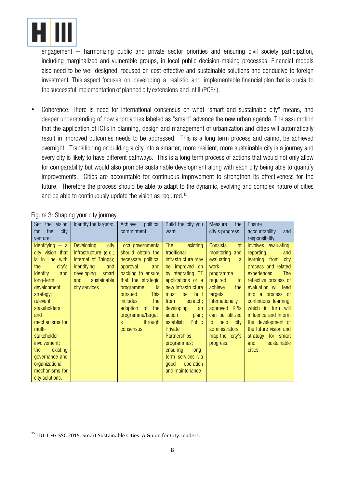

engagement -- harmonizing public and private sector priorities and ensuring civil society participation, including marginalized and vulnerable groups, in local public decision-making processes. Financial models also need to be well designed, focused on cost-effective and sustainable solutions and conducive to foreign investment. This aspect focuses on developing a realistic and implementable financial plan that is crucial to the successful implementation of planned city extensions and infill (PCE/I).

• Coherence: There is need for international consensus on what "smart and sustainable city" means, and deeper understanding of how approaches labeled as "smart" advance the new urban agenda. The assumption that the application of ICTs in planning, design and management of urbanization and cities will automatically result in improved outcomes needs to be addressed. This is a long term process and cannot be achieved overnight. Transitioning or building a city into a smarter, more resilient, more sustainable city is a journey and every city is likely to have different pathways. This is a long term process of actions that would not only allow for comparability but would also promote sustainable development along with each city being able to quantify improvements. Cities are accountable for continuous improvement to strengthen its effectiveness for the future. Therefore the process should be able to adapt to the dynamic, evolving and complex nature of cities and be able to continuously update the vision as required.<sup>15</sup>

| Set<br>vision<br>the<br>the<br>city<br>for<br>venture:                                                                                                                                                                                                                                                                         | Identify the targets:                                                                                                                                                  | political<br>Achieve<br>commitment                                                                                                                                                                                                                                      | Build the city you<br>want                                                                                                                                                                                                                                                                                                                                                                    | the<br>Measure<br>city's progress                                                                                                                                                                                                                                                        | <b>Ensure</b><br>accountability<br>and<br>responsibility                                                                                                                                                                                                                                                                                                       |
|--------------------------------------------------------------------------------------------------------------------------------------------------------------------------------------------------------------------------------------------------------------------------------------------------------------------------------|------------------------------------------------------------------------------------------------------------------------------------------------------------------------|-------------------------------------------------------------------------------------------------------------------------------------------------------------------------------------------------------------------------------------------------------------------------|-----------------------------------------------------------------------------------------------------------------------------------------------------------------------------------------------------------------------------------------------------------------------------------------------------------------------------------------------------------------------------------------------|------------------------------------------------------------------------------------------------------------------------------------------------------------------------------------------------------------------------------------------------------------------------------------------|----------------------------------------------------------------------------------------------------------------------------------------------------------------------------------------------------------------------------------------------------------------------------------------------------------------------------------------------------------------|
| Identifying -- a<br>city vision that<br>is in line with<br>city's<br>the<br>identity<br>and<br>long-term<br>development<br>strategy;<br>relevant<br>stakeholders<br>and<br>mechanisms for<br>multi-<br>stakeholder<br>involvement;<br>existing<br>the<br>governance and<br>organizational<br>mechanisms for<br>city solutions. | <b>Developing</b><br>city<br>infrastructure (e.g.;<br>Internet of Things);<br><b>Identifying</b><br>and<br>developing<br>smart<br>sustainable<br>and<br>city services. | Local governments<br>should obtain the<br>necessary political<br>approval<br>and<br>backing to ensure<br>that the strategic<br>is<br>programme<br><b>This</b><br>pursued.<br>includes<br>the<br>adoption<br>0f<br>the<br>programme/target<br>through<br>S<br>consensus. | <b>The</b><br>existing<br>traditional<br>infrastructure may<br>be improved on<br>by integrating ICT<br>applications or a<br>new infrastructure<br>be<br>must<br>built<br>scratch;<br>from<br>developing<br>an<br>action<br>plan;<br>establish<br>Public<br>Private<br><b>Partnerships</b><br>programmes;<br>ensuring<br>$long-$<br>term services via<br>good<br>operation<br>and maintenance. | <sub>of</sub><br><b>Consists</b><br>monitoring<br>and<br>evaluating<br><sub>a</sub><br>work<br>programme<br>required<br>to<br>achieve<br>the<br>targets.<br>Internationally<br>KPIs<br>approved<br>can be utilized<br>help city<br>to<br>administrators<br>map their city's<br>progress. | Involves evaluating,<br>reporting<br>and<br>learning from city<br>process and related<br>experiences.<br>The<br>reflective process of<br>evaluation will feed<br>into a process of<br>continuous learning,<br>which in turn will<br>influence and inform<br>the development of<br>the future vision and<br>strategy for smart<br>sustainable<br>and<br>cities. |

Figure 3: Shaping your city journey

<u> 1989 - Jan Samuel Barbara, margaret e</u>

<sup>&</sup>lt;sup>15</sup> ITU-T FG-SSC 2015. Smart Sustainable Cities: A Guide for City Leaders.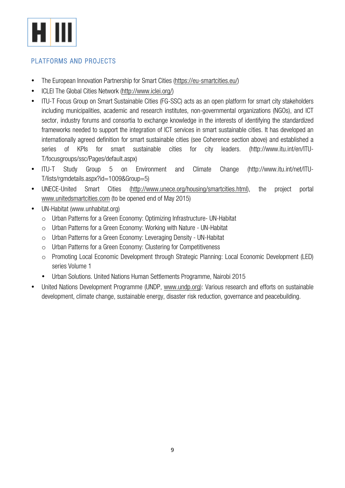

## PLATFORMS AND PROJECTS

- The European Innovation Partnership for Smart Cities (https://eu-smartcities.eu/)
- ICLEI The Global Cities Network (http://www.iclei.org/)
- ITU-T Focus Group on Smart Sustainable Cities (FG-SSC) acts as an open platform for smart city stakeholders including municipalities, academic and research institutes, non-governmental organizations (NGOs), and ICT sector, industry forums and consortia to exchange knowledge in the interests of identifying the standardized frameworks needed to support the integration of ICT services in smart sustainable cities. It has developed an internationally agreed definition for smart sustainable cities (see Coherence section above) and established a series of KPIs for smart sustainable cities for city leaders. (http://www.itu.int/en/ITU-T/focusgroups/ssc/Pages/default.aspx)
- ITU-T Study Group 5 on Environment and Climate Change (http://www.itu.int/net/ITU-T/lists/rgmdetails.aspx?id=1009&Group=5)
- UNECE-United Smart Cities (http://www.unece.org/housing/smartcities.html), the project portal www.unitedsmartcities.com (to be opened end of May 2015)
- UN-Habitat (www.unhabitat.org)
	- o Urban Patterns for a Green Economy: Optimizing Infrastructure- UN-Habitat
	- o Urban Patterns for a Green Economy: Working with Nature UN-Habitat
	- o Urban Patterns for a Green Economy: Leveraging Density UN-Habitat
	- o Urban Patterns for a Green Economy: Clustering for Competitiveness
	- o Promoting Local Economic Development through Strategic Planning: Local Economic Development (LED) series Volume 1
	- Urban Solutions. United Nations Human Settlements Programme, Nairobi 2015
- United Nations Development Programme (UNDP, www.undp.org): Various research and efforts on sustainable development, climate change, sustainable energy, disaster risk reduction, governance and peacebuilding.